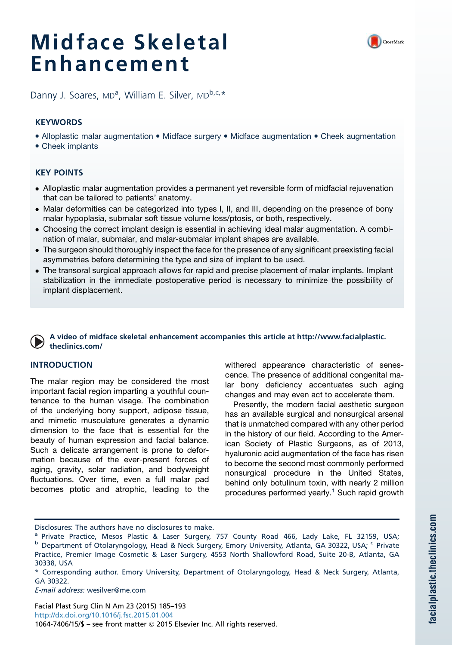# Midface Skeletal Enhancement



Danny J. Soares, MD<sup>a</sup>, William E. Silver, MD<sup>b,c,\*</sup>

# **KEYWORDS**

- Alloplastic malar augmentation Midface surgery Midface augmentation Cheek augmentation
- Cheek implants

# KEY POINTS

- Alloplastic malar augmentation provides a permanent yet reversible form of midfacial rejuvenation that can be tailored to patients' anatomy.
- Malar deformities can be categorized into types I, II, and III, depending on the presence of bony malar hypoplasia, submalar soft tissue volume loss/ptosis, or both, respectively.
- Choosing the correct implant design is essential in achieving ideal malar augmentation. A combination of malar, submalar, and malar-submalar implant shapes are available.
- The surgeon should thoroughly inspect the face for the presence of any significant preexisting facial asymmetries before determining the type and size of implant to be used.
- The transoral surgical approach allows for rapid and precise placement of malar implants. Implant stabilization in the immediate postoperative period is necessary to minimize the possibility of implant displacement.

# [A video of midface skeletal enhancement accompanies this article at http://www.facialplastic.](#page-8-0) [theclinics.com/](#page-8-0)

# INTRODUCTION

The malar region may be considered the most important facial region imparting a youthful countenance to the human visage. The combination of the underlying bony support, adipose tissue, and mimetic musculature generates a dynamic dimension to the face that is essential for the beauty of human expression and facial balance. Such a delicate arrangement is prone to deformation because of the ever-present forces of aging, gravity, solar radiation, and bodyweight fluctuations. Over time, even a full malar pad becomes ptotic and atrophic, leading to the withered appearance characteristic of senescence. The presence of additional congenital malar bony deficiency accentuates such aging changes and may even act to accelerate them.

Presently, the modern facial aesthetic surgeon has an available surgical and nonsurgical arsenal that is unmatched compared with any other period in the history of our field. According to the American Society of Plastic Surgeons, as of 2013, hyaluronic acid augmentation of the face has risen to become the second most commonly performed nonsurgical procedure in the United States, behind only botulinum toxin, with nearly 2 million procedures performed yearly.<sup>[1](#page-8-0)</sup> Such rapid growth

E-mail address: [wesilver@me.com](mailto:wesilver@me.com)

Facial Plast Surg Clin N Am 23 (2015) 185–193 <http://dx.doi.org/10.1016/j.fsc.2015.01.004> 1064-7406/15/\$ – see front matter 2015 Elsevier Inc. All rights reserved.

Disclosures: The authors have no disclosures to make.

<sup>&</sup>lt;sup>a</sup> Private Practice, Mesos Plastic & Laser Surgery, 757 County Road 466, Lady Lake, FL 32159, USA; c Department of Otolaryngology, Head & Neck Surgery, Emory University, Atlanta, GA 30322, USA; <sup>c</sup> Private Practice, Premier Image Cosmetic & Laser Surgery, 4553 North Shallowford Road, Suite 20-B, Atlanta, GA 30338, USA

<sup>\*</sup> Corresponding author. Emory University, Department of Otolaryngology, Head & Neck Surgery, Atlanta, GA 30322.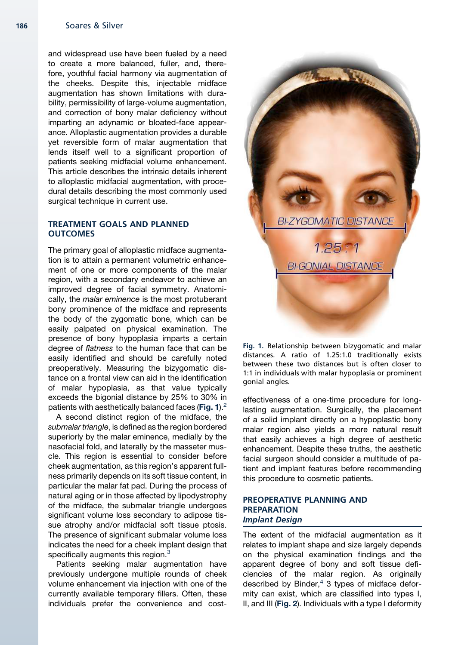#### 186 Soares & Silver

and widespread use have been fueled by a need to create a more balanced, fuller, and, therefore, youthful facial harmony via augmentation of the cheeks. Despite this, injectable midface augmentation has shown limitations with durability, permissibility of large-volume augmentation, and correction of bony malar deficiency without imparting an adynamic or bloated-face appearance. Alloplastic augmentation provides a durable yet reversible form of malar augmentation that lends itself well to a significant proportion of patients seeking midfacial volume enhancement. This article describes the intrinsic details inherent to alloplastic midfacial augmentation, with procedural details describing the most commonly used surgical technique in current use.

# TREATMENT GOALS AND PLANNED **OUTCOMES**

The primary goal of alloplastic midface augmentation is to attain a permanent volumetric enhancement of one or more components of the malar region, with a secondary endeavor to achieve an improved degree of facial symmetry. Anatomically, the *malar eminence* is the most protuberant bony prominence of the midface and represents the body of the zygomatic bone, which can be easily palpated on physical examination. The presence of bony hypoplasia imparts a certain degree of *flatness* to the human face that can be easily identified and should be carefully noted preoperatively. Measuring the bizygomatic distance on a frontal view can aid in the identification of malar hypoplasia, as that value typically exceeds the bigonial distance by 25% to 30% in patients with aesthetically balanced faces (Fig. 1). $^2$ 

A second distinct region of the midface, the *submalar triangle*, is defined as the region bordered superiorly by the malar eminence, medially by the nasofacial fold, and laterally by the masseter muscle. This region is essential to consider before cheek augmentation, as this region's apparent fullness primarily depends on its soft tissue content, in particular the malar fat pad. During the process of natural aging or in those affected by lipodystrophy of the midface, the submalar triangle undergoes significant volume loss secondary to adipose tissue atrophy and/or midfacial soft tissue ptosis. The presence of significant submalar volume loss indicates the need for a cheek implant design that specifically augments this region.<sup>[3](#page-8-0)</sup>

Patients seeking malar augmentation have previously undergone multiple rounds of cheek volume enhancement via injection with one of the currently available temporary fillers. Often, these individuals prefer the convenience and cost-



Fig. 1. Relationship between bizygomatic and malar distances. A ratio of 1.25:1.0 traditionally exists between these two distances but is often closer to 1:1 in individuals with malar hypoplasia or prominent gonial angles.

effectiveness of a one-time procedure for longlasting augmentation. Surgically, the placement of a solid implant directly on a hypoplastic bony malar region also yields a more natural result that easily achieves a high degree of aesthetic enhancement. Despite these truths, the aesthetic facial surgeon should consider a multitude of patient and implant features before recommending this procedure to cosmetic patients.

# PREOPERATIVE PLANNING AND PREPARATION Implant Design

The extent of the midfacial augmentation as it relates to implant shape and size largely depends on the physical examination findings and the apparent degree of bony and soft tissue deficiencies of the malar region. As originally described by Binder, $4$  3 types of midface deformity can exist, which are classified into types I, II, and III ([Fig. 2](#page-2-0)). Individuals with a type I deformity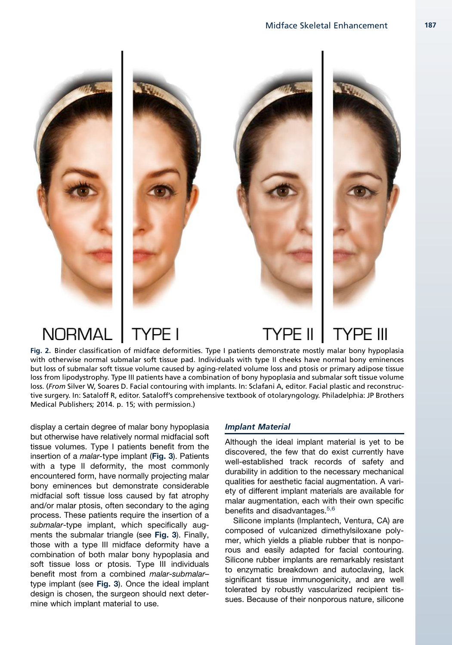<span id="page-2-0"></span>

Fig. 2. Binder classification of midface deformities. Type I patients demonstrate mostly malar bony hypoplasia with otherwise normal submalar soft tissue pad. Individuals with type II cheeks have normal bony eminences but loss of submalar soft tissue volume caused by aging-related volume loss and ptosis or primary adipose tissue loss from lipodystrophy. Type III patients have a combination of bony hypoplasia and submalar soft tissue volume loss. (From Silver W, Soares D. Facial contouring with implants. In: Sclafani A, editor. Facial plastic and reconstructive surgery. In: Sataloff R, editor. Sataloff's comprehensive textbook of otolaryngology. Philadelphia: JP Brothers Medical Publishers; 2014. p. 15; with permission.)

display a certain degree of malar bony hypoplasia but otherwise have relatively normal midfacial soft tissue volumes. Type I patients benefit from the insertion of a *malar-*type implant ([Fig. 3](#page-3-0)). Patients with a type II deformity, the most commonly encountered form, have normally projecting malar bony eminences but demonstrate considerable midfacial soft tissue loss caused by fat atrophy and/or malar ptosis, often secondary to the aging process. These patients require the insertion of a *submalar*-type implant, which specifically augments the submalar triangle (see [Fig. 3](#page-3-0)). Finally, those with a type III midface deformity have a combination of both malar bony hypoplasia and soft tissue loss or ptosis. Type III individuals benefit most from a combined *malar-submalar*– type implant (see [Fig. 3](#page-3-0)). Once the ideal implant design is chosen, the surgeon should next determine which implant material to use.

# Implant Material

Although the ideal implant material is yet to be discovered, the few that do exist currently have well-established track records of safety and durability in addition to the necessary mechanical qualities for aesthetic facial augmentation. A variety of different implant materials are available for malar augmentation, each with their own specific benefits and disadvantages.<sup>[5,6](#page-8-0)</sup>

Silicone implants (Implantech, Ventura, CA) are composed of vulcanized dimethylsiloxane polymer, which yields a pliable rubber that is nonporous and easily adapted for facial contouring. Silicone rubber implants are remarkably resistant to enzymatic breakdown and autoclaving, lack significant tissue immunogenicity, and are well tolerated by robustly vascularized recipient tissues. Because of their nonporous nature, silicone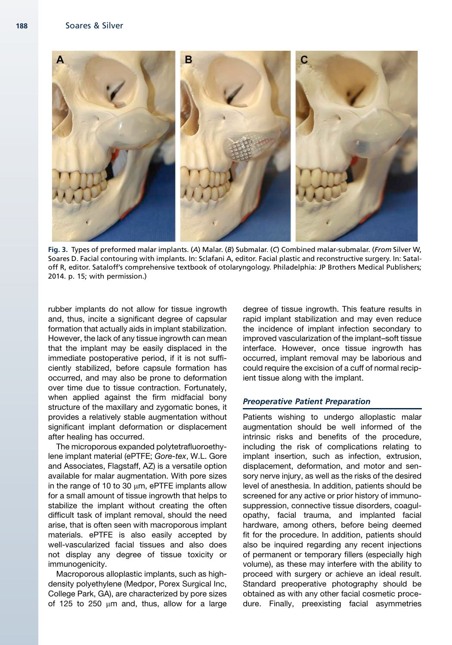<span id="page-3-0"></span>

Fig. 3. Types of preformed malar implants. (A) Malar. (B) Submalar. (C) Combined malar-submalar. (From Silver W, Soares D. Facial contouring with implants. In: Sclafani A, editor. Facial plastic and reconstructive surgery. In: Sataloff R, editor. Sataloff's comprehensive textbook of otolaryngology. Philadelphia: JP Brothers Medical Publishers; 2014. p. 15; with permission.)

rubber implants do not allow for tissue ingrowth and, thus, incite a significant degree of capsular formation that actually aids in implant stabilization. However, the lack of any tissue ingrowth can mean that the implant may be easily displaced in the immediate postoperative period, if it is not sufficiently stabilized, before capsule formation has occurred, and may also be prone to deformation over time due to tissue contraction. Fortunately, when applied against the firm midfacial bony structure of the maxillary and zygomatic bones, it provides a relatively stable augmentation without significant implant deformation or displacement after healing has occurred.

The microporous expanded polytetrafluoroethylene implant material (ePTFE; *Gore-tex*, W.L. Gore and Associates, Flagstaff, AZ) is a versatile option available for malar augmentation. With pore sizes in the range of 10 to 30  $µm$ , ePTFE implants allow for a small amount of tissue ingrowth that helps to stabilize the implant without creating the often difficult task of implant removal, should the need arise, that is often seen with macroporous implant materials. ePTFE is also easily accepted by well-vascularized facial tissues and also does not display any degree of tissue toxicity or immunogenicity.

Macroporous alloplastic implants, such as highdensity polyethylene (Medpor, Porex Surgical Inc, College Park, GA), are characterized by pore sizes of 125 to 250  $\mu$ m and, thus, allow for a large degree of tissue ingrowth. This feature results in rapid implant stabilization and may even reduce the incidence of implant infection secondary to improved vascularization of the implant–soft tissue interface. However, once tissue ingrowth has occurred, implant removal may be laborious and could require the excision of a cuff of normal recipient tissue along with the implant.

# Preoperative Patient Preparation

Patients wishing to undergo alloplastic malar augmentation should be well informed of the intrinsic risks and benefits of the procedure, including the risk of complications relating to implant insertion, such as infection, extrusion, displacement, deformation, and motor and sensory nerve injury, as well as the risks of the desired level of anesthesia. In addition, patients should be screened for any active or prior history of immunosuppression, connective tissue disorders, coagulopathy, facial trauma, and implanted facial hardware, among others, before being deemed fit for the procedure. In addition, patients should also be inquired regarding any recent injections of permanent or temporary fillers (especially high volume), as these may interfere with the ability to proceed with surgery or achieve an ideal result. Standard preoperative photography should be obtained as with any other facial cosmetic procedure. Finally, preexisting facial asymmetries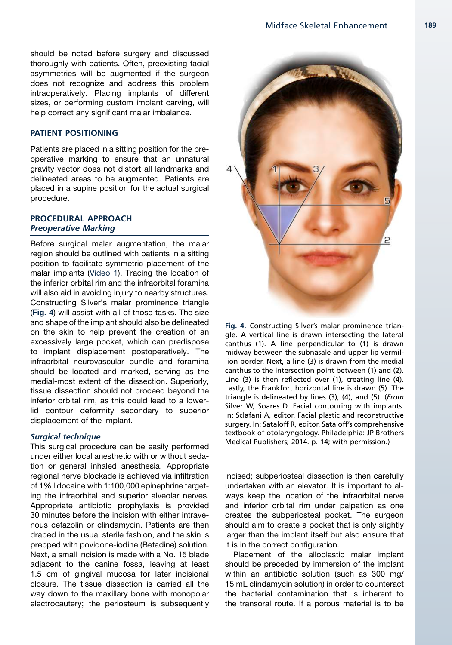should be noted before surgery and discussed thoroughly with patients. Often, preexisting facial asymmetries will be augmented if the surgeon does not recognize and address this problem intraoperatively. Placing implants of different sizes, or performing custom implant carving, will help correct any significant malar imbalance.

# PATIENT POSITIONING

Patients are placed in a sitting position for the preoperative marking to ensure that an unnatural gravity vector does not distort all landmarks and delineated areas to be augmented. Patients are placed in a supine position for the actual surgical procedure.

# PROCEDURAL APPROACH Preoperative Marking

Before surgical malar augmentation, the malar region should be outlined with patients in a sitting position to facilitate symmetric placement of the malar implants (Video 1). Tracing the location of the inferior orbital rim and the infraorbital foramina will also aid in avoiding injury to nearby structures. Constructing Silver's malar prominence triangle (Fig. 4) will assist with all of those tasks. The size and shape of the implant should also be delineated on the skin to help prevent the creation of an excessively large pocket, which can predispose to implant displacement postoperatively. The infraorbital neurovascular bundle and foramina should be located and marked, serving as the medial-most extent of the dissection. Superiorly, tissue dissection should not proceed beyond the inferior orbital rim, as this could lead to a lowerlid contour deformity secondary to superior displacement of the implant.

This surgical procedure can be easily performed under either local anesthetic with or without sedation or general inhaled anesthesia. Appropriate regional nerve blockade is achieved via infiltration of 1% lidocaine with 1:100,000 epinephrine targeting the infraorbital and superior alveolar nerves. Appropriate antibiotic prophylaxis is provided 30 minutes before the incision with either intravenous cefazolin or clindamycin. Patients are then draped in the usual sterile fashion, and the skin is prepped with povidone-iodine (Betadine) solution. Next, a small incision is made with a No. 15 blade adjacent to the canine fossa, leaving at least 1.5 cm of gingival mucosa for later incisional closure. The tissue dissection is carried all the way down to the maxillary bone with monopolar electrocautery; the periosteum is subsequently



Fig. 4. Constructing Silver's malar prominence triangle. A vertical line is drawn intersecting the lateral canthus (1). A line perpendicular to (1) is drawn midway between the subnasale and upper lip vermillion border. Next, a line (3) is drawn from the medial canthus to the intersection point between (1) and (2). Line (3) is then reflected over (1), creating line (4). Lastly, the Frankfort horizontal line is drawn (5). The triangle is delineated by lines (3), (4), and (5). (From Silver W, Soares D. Facial contouring with implants. In: Sclafani A, editor. Facial plastic and reconstructive surgery. In: Sataloff R, editor. Sataloff's comprehensive textbook of otolaryngology. Philadelphia: JP Brothers Medical Publishers; 2014. p. 14; with permission.)

incised; subperiosteal dissection is then carefully undertaken with an elevator. It is important to always keep the location of the infraorbital nerve and inferior orbital rim under palpation as one creates the subperiosteal pocket. The surgeon should aim to create a pocket that is only slightly larger than the implant itself but also ensure that it is in the correct configuration.

Placement of the alloplastic malar implant should be preceded by immersion of the implant within an antibiotic solution (such as 300 mg/ 15 mL clindamycin solution) in order to counteract the bacterial contamination that is inherent to the transoral route. If a porous material is to be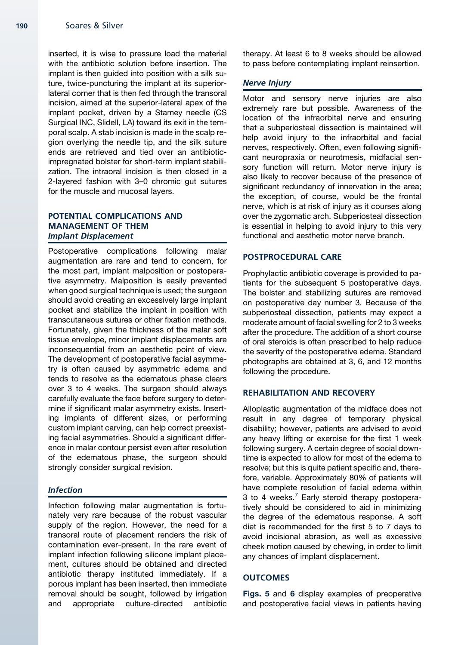## 190 Soares & Silver

inserted, it is wise to pressure load the material with the antibiotic solution before insertion. The implant is then guided into position with a silk suture, twice-puncturing the implant at its superiorlateral corner that is then fed through the transoral incision, aimed at the superior-lateral apex of the implant pocket, driven by a Stamey needle (CS Surgical INC, Slidell, LA) toward its exit in the temporal scalp. A stab incision is made in the scalp region overlying the needle tip, and the silk suture ends are retrieved and tied over an antibioticimpregnated bolster for short-term implant stabilization. The intraoral incision is then closed in a 2-layered fashion with 3–0 chromic gut sutures for the muscle and mucosal layers.

# POTENTIAL COMPLICATIONS AND MANAGEMENT OF THEM  $\frac{1}{2}$  and  $\frac{1}{2}$  and  $\frac{1}{2}$  and  $\frac{1}{2}$  and  $\frac{1}{2}$  and  $\frac{1}{2}$  and  $\frac{1}{2}$  and  $\frac{1}{2}$  and  $\frac{1}{2}$  and  $\frac{1}{2}$  and  $\frac{1}{2}$  and  $\frac{1}{2}$  and  $\frac{1}{2}$  and  $\frac{1}{2}$  and  $\frac{1}{2}$  and  $\frac{1}{2}$  a

Postoperative complications following malar augmentation are rare and tend to concern, for the most part, implant malposition or postoperative asymmetry. Malposition is easily prevented when good surgical technique is used; the surgeon should avoid creating an excessively large implant pocket and stabilize the implant in position with transcutaneous sutures or other fixation methods. Fortunately, given the thickness of the malar soft tissue envelope, minor implant displacements are inconsequential from an aesthetic point of view. The development of postoperative facial asymmetry is often caused by asymmetric edema and tends to resolve as the edematous phase clears over 3 to 4 weeks. The surgeon should always carefully evaluate the face before surgery to determine if significant malar asymmetry exists. Inserting implants of different sizes, or performing custom implant carving, can help correct preexisting facial asymmetries. Should a significant difference in malar contour persist even after resolution of the edematous phase, the surgeon should strongly consider surgical revision.

#### **Infection** <u>Infection</u>

Infection following malar augmentation is fortunately very rare because of the robust vascular supply of the region. However, the need for a transoral route of placement renders the risk of contamination ever-present. In the rare event of implant infection following silicone implant placement, cultures should be obtained and directed antibiotic therapy instituted immediately. If a porous implant has been inserted, then immediate removal should be sought, followed by irrigation and appropriate culture-directed antibiotic

therapy. At least 6 to 8 weeks should be allowed to pass before contemplating implant reinsertion.

# $\frac{1}{2}$

Motor and sensory nerve injuries are also extremely rare but possible. Awareness of the location of the infraorbital nerve and ensuring that a subperiosteal dissection is maintained will help avoid injury to the infraorbital and facial nerves, respectively. Often, even following significant neuropraxia or neurotmesis, midfacial sensory function will return. Motor nerve injury is also likely to recover because of the presence of significant redundancy of innervation in the area; the exception, of course, would be the frontal nerve, which is at risk of injury as it courses along over the zygomatic arch. Subperiosteal dissection is essential in helping to avoid injury to this very functional and aesthetic motor nerve branch.

# POSTPROCEDURAL CARE

Prophylactic antibiotic coverage is provided to patients for the subsequent 5 postoperative days. The bolster and stabilizing sutures are removed on postoperative day number 3. Because of the subperiosteal dissection, patients may expect a moderate amount of facial swelling for 2 to 3 weeks after the procedure. The addition of a short course of oral steroids is often prescribed to help reduce the severity of the postoperative edema. Standard photographs are obtained at 3, 6, and 12 months following the procedure.

# REHABILITATION AND RECOVERY

Alloplastic augmentation of the midface does not result in any degree of temporary physical disability; however, patients are advised to avoid any heavy lifting or exercise for the first 1 week following surgery. A certain degree of social downtime is expected to allow for most of the edema to resolve; but this is quite patient specific and, therefore, variable. Approximately 80% of patients will have complete resolution of facial edema within 3 to 4 weeks. $7$  Early steroid therapy postoperatively should be considered to aid in minimizing the degree of the edematous response. A soft diet is recommended for the first 5 to 7 days to avoid incisional abrasion, as well as excessive cheek motion caused by chewing, in order to limit any chances of implant displacement.

# **OUTCOMES**

[Figs. 5](#page-6-0) and [6](#page-7-0) display examples of preoperative and postoperative facial views in patients having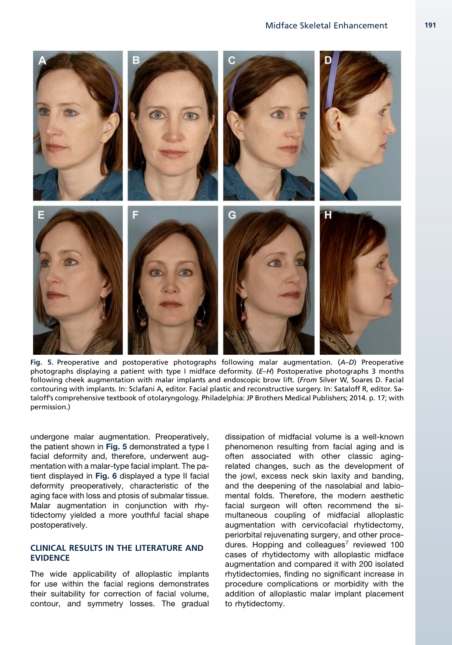# Midface Skeletal Enhancement 191

<span id="page-6-0"></span>

Fig. 5. Preoperative and postoperative photographs following malar augmentation. (A–D) Preoperative photographs displaying a patient with type I midface deformity. (E-H) Postoperative photographs 3 months following cheek augmentation with malar implants and endoscopic brow lift. (From Silver W, Soares D. Facial contouring with implants. In: Sclafani A, editor. Facial plastic and reconstructive surgery. In: Sataloff R, editor. Sataloff's comprehensive textbook of otolaryngology. Philadelphia: JP Brothers Medical Publishers; 2014. p. 17; with permission.)

undergone malar augmentation. Preoperatively, the patient shown in Fig. 5 demonstrated a type I facial deformity and, therefore, underwent augmentation with a malar-type facial implant. The patient displayed in [Fig. 6](#page-7-0) displayed a type II facial deformity preoperatively, characteristic of the aging face with loss and ptosis of submalar tissue. Malar augmentation in conjunction with rhytidectomy yielded a more youthful facial shape postoperatively.

# CLINICAL RESULTS IN THE LITERATURE AND **EVIDENCE**

The wide applicability of alloplastic implants for use within the facial regions demonstrates their suitability for correction of facial volume, contour, and symmetry losses. The gradual dissipation of midfacial volume is a well-known phenomenon resulting from facial aging and is often associated with other classic agingrelated changes, such as the development of the jowl, excess neck skin laxity and banding, and the deepening of the nasolabial and labiomental folds. Therefore, the modern aesthetic facial surgeon will often recommend the simultaneous coupling of midfacial alloplastic augmentation with cervicofacial rhytidectomy, periorbital rejuvenating surgery, and other proce-dures. Hopping and colleagues<sup>[7](#page-8-0)</sup> reviewed 100 cases of rhytidectomy with alloplastic midface augmentation and compared it with 200 isolated rhytidectomies, finding no significant increase in procedure complications or morbidity with the addition of alloplastic malar implant placement to rhytidectomy.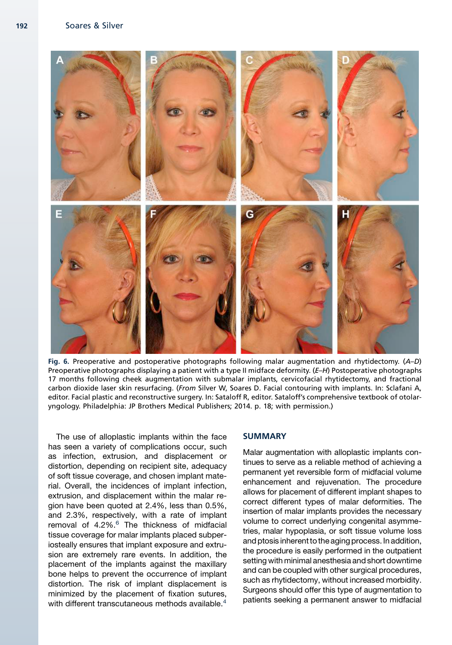<span id="page-7-0"></span>

Fig. 6. Preoperative and postoperative photographs following malar augmentation and rhytidectomy. (A–D) Preoperative photographs displaying a patient with a type II midface deformity. (E-H) Postoperative photographs 17 months following cheek augmentation with submalar implants, cervicofacial rhytidectomy, and fractional carbon dioxide laser skin resurfacing. (From Silver W, Soares D. Facial contouring with implants. In: Sclafani A, editor. Facial plastic and reconstructive surgery. In: Sataloff R, editor. Sataloff's comprehensive textbook of otolaryngology. Philadelphia: JP Brothers Medical Publishers; 2014. p. 18; with permission.)

The use of alloplastic implants within the face has seen a variety of complications occur, such as infection, extrusion, and displacement or distortion, depending on recipient site, adequacy of soft tissue coverage, and chosen implant material. Overall, the incidences of implant infection, extrusion, and displacement within the malar region have been quoted at 2.4%, less than 0.5%, and 2.3%, respectively, with a rate of implant removal of 4.2%.<sup>[6](#page-8-0)</sup> The thickness of midfacial tissue coverage for malar implants placed subperiosteally ensures that implant exposure and extrusion are extremely rare events. In addition, the placement of the implants against the maxillary bone helps to prevent the occurrence of implant distortion. The risk of implant displacement is minimized by the placement of fixation sutures, with different transcutaneous methods available.<sup>[4](#page-8-0)</sup>

# SUMMARY

Malar augmentation with alloplastic implants continues to serve as a reliable method of achieving a permanent yet reversible form of midfacial volume enhancement and rejuvenation. The procedure allows for placement of different implant shapes to correct different types of malar deformities. The insertion of malar implants provides the necessary volume to correct underlying congenital asymmetries, malar hypoplasia, or soft tissue volume loss and ptosis inherent to the aging process. In addition, the procedure is easily performed in the outpatient setting with minimal anesthesia and short downtime and can be coupled with other surgical procedures, such as rhytidectomy, without increased morbidity. Surgeons should offer this type of augmentation to patients seeking a permanent answer to midfacial